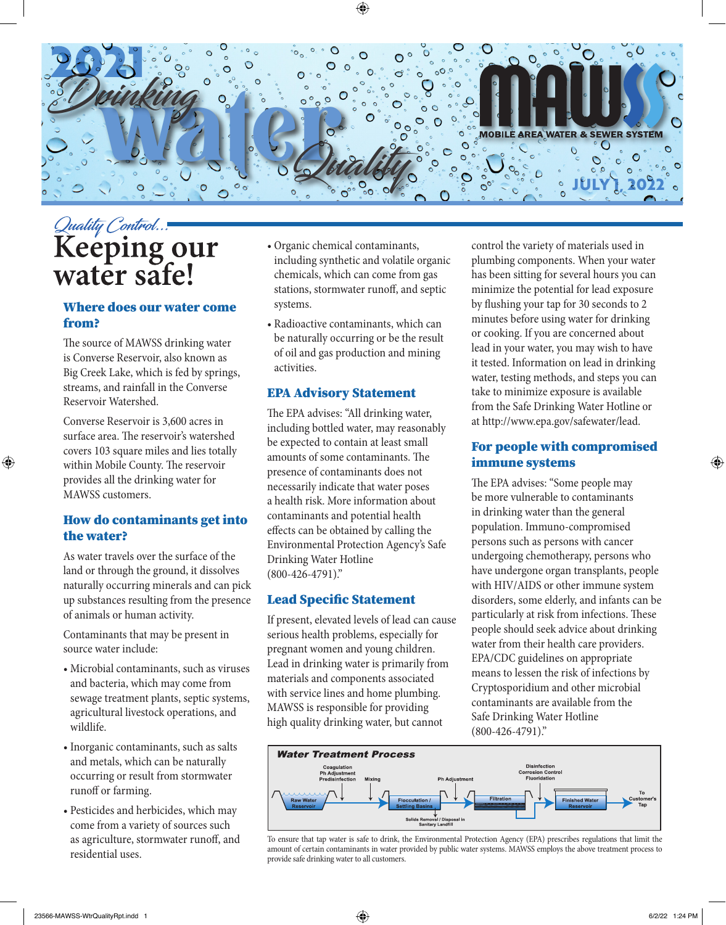

# Quality Control...<br>Keeping our<br>water safe!

#### Where does our water come from?

The source of MAWSS drinking water is Converse Reservoir, also known as Big Creek Lake, which is fed by springs, streams, and rainfall in the Converse Reservoir Watershed.

Converse Reservoir is 3,600 acres in surface area. The reservoir's watershed covers 103 square miles and lies totally within Mobile County. The reservoir provides all the drinking water for MAWSS customers.

#### How do contaminants get into the water?

As water travels over the surface of the land or through the ground, it dissolves naturally occurring minerals and can pick up substances resulting from the presence of animals or human activity.

Contaminants that may be present in source water include:

- Microbial contaminants, such as viruses and bacteria, which may come from sewage treatment plants, septic systems, agricultural livestock operations, and wildlife.
- Inorganic contaminants, such as salts and metals, which can be naturally occurring or result from stormwater runoff or farming.
- Pesticides and herbicides, which may come from a variety of sources such as agriculture, stormwater runoff, and residential uses.
- Organic chemical contaminants, including synthetic and volatile organic chemicals, which can come from gas stations, stormwater runoff, and septic systems.
- Radioactive contaminants, which can be naturally occurring or be the result of oil and gas production and mining activities.

#### EPA Advisory Statement

The EPA advises: "All drinking water, including bottled water, may reasonably be expected to contain at least small amounts of some contaminants. The presence of contaminants does not necessarily indicate that water poses a health risk. More information about contaminants and potential health effects can be obtained by calling the Environmental Protection Agency's Safe Drinking Water Hotline (800-426-4791)."

#### Lead Specific Statement

If present, elevated levels of lead can cause serious health problems, especially for pregnant women and young children. Lead in drinking water is primarily from materials and components associated with service lines and home plumbing. MAWSS is responsible for providing high quality drinking water, but cannot

control the variety of materials used in plumbing components. When your water has been sitting for several hours you can minimize the potential for lead exposure by flushing your tap for 30 seconds to 2 minutes before using water for drinking or cooking. If you are concerned about lead in your water, you may wish to have it tested. Information on lead in drinking water, testing methods, and steps you can take to minimize exposure is available from the Safe Drinking Water Hotline or at http://www.epa.gov/safewater/lead.

#### For people with compromised immune systems

The EPA advises: "Some people may be more vulnerable to contaminants in drinking water than the general population. Immuno-compromised persons such as persons with cancer undergoing chemotherapy, persons who have undergone organ transplants, people with HIV/AIDS or other immune system disorders, some elderly, and infants can be particularly at risk from infections. These people should seek advice about drinking water from their health care providers. EPA/CDC guidelines on appropriate means to lessen the risk of infections by Cryptosporidium and other microbial contaminants are available from the Safe Drinking Water Hotline (800-426-4791)."



To ensure that tap water is safe to drink, the Environmental Protection Agency (EPA) prescribes regulations that limit the amount of certain contaminants in water provided by public water systems. MAWSS employs the above treatment process to provide safe drinking water to all customers.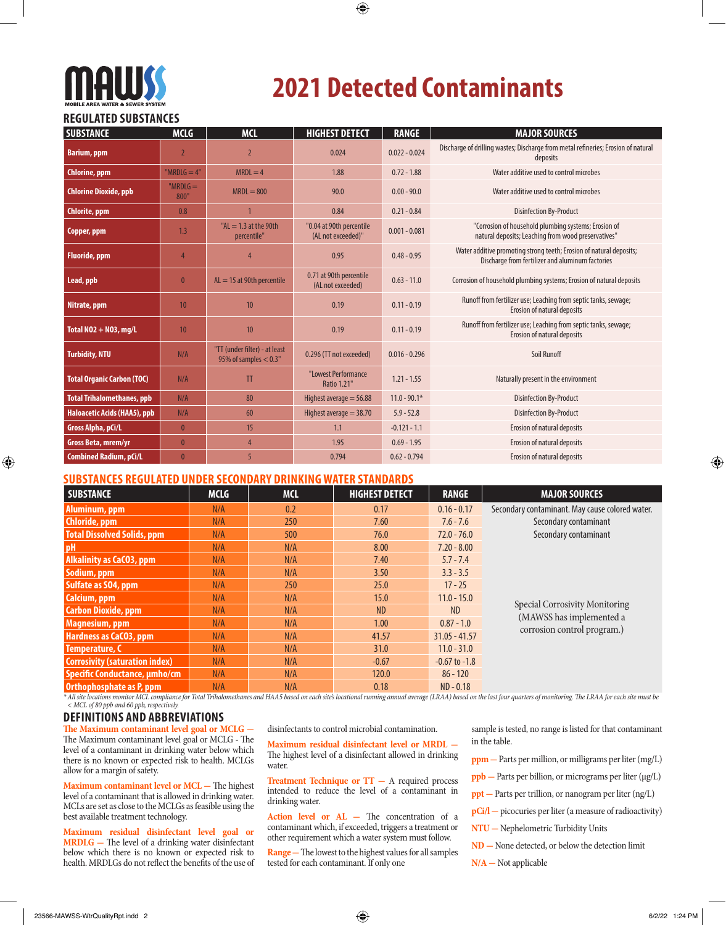# **MAUJSS**

# **2021 Detected Contaminants**

#### **REGULATED SUBSTANCES**

| <b>SUBSTANCE</b>                  | <b>MCLG</b>         | <b>MCL</b>                                               | <b>HIGHEST DETECT</b>                          | <b>RANGE</b>    | <b>MAJOR SOURCES</b>                                                                                                    |
|-----------------------------------|---------------------|----------------------------------------------------------|------------------------------------------------|-----------------|-------------------------------------------------------------------------------------------------------------------------|
| <b>Barium, ppm</b>                | $\overline{2}$      | $\overline{2}$                                           | 0.024                                          | $0.022 - 0.024$ | Discharge of drilling wastes; Discharge from metal refineries; Erosion of natural<br>deposits                           |
| Chlorine, ppm                     | "MRDL $G = 4"$      | $MRDL = 4$                                               | 1.88                                           | $0.72 - 1.88$   | Water additive used to control microbes                                                                                 |
| <b>Chlorine Dioxide, ppb</b>      | " $MRDLG =$<br>800" | $MRDL = 800$                                             | 90.0                                           | $0.00 - 90.0$   | Water additive used to control microbes                                                                                 |
| Chlorite, ppm                     | 0.8                 |                                                          | 0.84                                           | $0.21 - 0.84$   | <b>Disinfection By-Product</b>                                                                                          |
| Copper, ppm                       | 1.3                 | " $AL = 1.3$ at the 90th<br>percentile"                  | "0.04 at 90th percentile<br>(AL not exceeded)" | $0.001 - 0.081$ | "Corrosion of household plumbing systems; Erosion of<br>natural deposits; Leaching from wood preservatives"             |
| <b>Fluoride</b> , ppm             | 4                   | 4                                                        | 0.95                                           | $0.48 - 0.95$   | Water additive promoting strong teeth; Erosion of natural deposits;<br>Discharge from fertilizer and aluminum factories |
| Lead, ppb                         | $\mathbf{0}$        | $AL = 15$ at 90th percentile                             | 0.71 at 90th percentile<br>(AL not exceeded)   | $0.63 - 11.0$   | Corrosion of household plumbing systems; Erosion of natural deposits                                                    |
| Nitrate, ppm                      | 10                  | 10                                                       | 0.19                                           | $0.11 - 0.19$   | Runoff from fertilizer use; Leaching from septic tanks, sewage;<br>Erosion of natural deposits                          |
| Total NO2 + NO3, mg/L             | 10                  | 10                                                       | 0.19                                           | $0.11 - 0.19$   | Runoff from fertilizer use; Leaching from septic tanks, sewage;<br>Erosion of natural deposits                          |
| <b>Turbidity, NTU</b>             | N/A                 | "TT (under filter) - at least<br>95% of samples $< 0.3"$ | 0.296 (TT not exceeded)                        | $0.016 - 0.296$ | Soil Runoff                                                                                                             |
| <b>Total Organic Carbon (TOC)</b> | N/A                 | $_{\text{T}}$                                            | "Lowest Performance<br><b>Ratio 1.21"</b>      | $1.21 - 1.55$   | Naturally present in the environment                                                                                    |
| <b>Total Trihalomethanes, ppb</b> | N/A                 | 80                                                       | Highest average $=$ 56.88                      | $11.0 - 90.1*$  | <b>Disinfection By-Product</b>                                                                                          |
| Haloacetic Acids (HAA5), ppb      | N/A                 | 60                                                       | Highest average $=$ 38.70                      | $5.9 - 52.8$    | <b>Disinfection By-Product</b>                                                                                          |
| Gross Alpha, pCi/L                | $\mathbf{0}$        | 15                                                       | 1.1                                            | $-0.121 - 1.1$  | Erosion of natural deposits                                                                                             |
| Gross Beta, mrem/yr               | $\mathbf{0}$        | $\overline{4}$                                           | 1.95                                           | $0.69 - 1.95$   | Erosion of natural deposits                                                                                             |
| <b>Combined Radium, pCi/L</b>     | $\mathbf{0}$        | 5                                                        | 0.794                                          | $0.62 - 0.794$  | Erosion of natural deposits                                                                                             |

#### **SUBSTANCES REGULATED UNDER SECONDARY DRINKING WATER STANDARDS**

| <b>SUBSTANCE</b>                      | <b>MCLG</b> | <b>MCL</b> | <b>HIGHEST DETECT</b> | <b>RANGE</b>      | <b>MAJOR SOURCES</b>                                       |  |  |
|---------------------------------------|-------------|------------|-----------------------|-------------------|------------------------------------------------------------|--|--|
| Aluminum, ppm                         | N/A         | 0.2        | 0.17                  | $0.16 - 0.17$     | Secondary contaminant. May cause colored water.            |  |  |
| Chloride, ppm                         | N/A         | 250        | 7.60                  | $7.6 - 7.6$       | Secondary contaminant                                      |  |  |
| <b>Total Dissolved Solids, ppm</b>    | N/A         | 500        | 76.0                  | $72.0 - 76.0$     | Secondary contaminant                                      |  |  |
| pH                                    | N/A         | N/A        | 8.00                  | $7.20 - 8.00$     |                                                            |  |  |
| <b>Alkalinity as CaCO3, ppm</b>       | N/A         | N/A        | 7.40                  | $5.7 - 7.4$       |                                                            |  |  |
| Sodium, ppm                           | N/A         | N/A        | 3.50                  | $3.3 - 3.5$       |                                                            |  |  |
| Sulfate as SO4, ppm                   | N/A         | 250        | 25.0                  | $17 - 25$         |                                                            |  |  |
| Calcium, ppm                          | N/A         | N/A        | 15.0                  | $11.0 - 15.0$     | Special Corrosivity Monitoring<br>(MAWSS has implemented a |  |  |
| <b>Carbon Dioxide, ppm</b>            | N/A         | N/A        | <b>ND</b>             | ND                |                                                            |  |  |
| Magnesium, ppm                        | N/A         | N/A        | 1.00                  | $0.87 - 1.0$      |                                                            |  |  |
| <b>Hardness as CaCO3, ppm</b>         | N/A         | N/A        | 41.57                 | $31.05 - 41.57$   | corrosion control program.)                                |  |  |
| Temperature, C                        | N/A         | N/A        | 31.0                  | $11.0 - 31.0$     |                                                            |  |  |
| <b>Corrosivity (saturation index)</b> | N/A         | N/A        | $-0.67$               | $-0.67$ to $-1.8$ |                                                            |  |  |
| Specific Conductance, umho/cm         | N/A         | N/A        | 120.0                 | $86 - 120$        |                                                            |  |  |
| <b>Orthophosphate as P, ppm</b>       | N/A         | N/A        | 0.18                  | $ND - 0.18$       |                                                            |  |  |

\* All site locations monitor MCL compliance for Total Trihalomethanes and HAA5 based on each site's locational running annual average (LRAA) based on the last four quarters of monitoring. The LRAA for each site must be<br>< M

#### **DEFINITIONS AND ABBREVIATIONS**

**The Maximum contaminant level goal or MCLG -** The Maximum contaminant level goal or MCLG - The level of a contaminant in drinking water below which there is no known or expected risk to health. MCLGs allow for a margin of safety.

**Maximum contaminant level or MCL -** The highest level of a contaminant that is allowed in drinking water. MCLs are set as close to the MCLGs as feasible using the best available treatment technology.

**Maximum residual disinfectant level goal or MRDLG -** The level of a drinking water disinfectant below which there is no known or expected risk to health. MRDLGs do not reflect the benefits of the use of

disinfectants to control microbial contamination.

**Maximum residual disinfectant level or MRDL -**  The highest level of a disinfectant allowed in drinking water.

Treatment Technique or TT - A required process intended to reduce the level of a contaminant in drinking water.

Action level or AL - The concentration of a contaminant which, if exceeded, triggers a treatment or other requirement which a water system must follow.

**Range -** The lowest to the highest values for all samples tested for each contaminant. If only one

sample is tested, no range is listed for that contaminant in the table.

- **ppm -** Parts per million, or milligrams per liter (mg/L)
- **ppb -** Parts per billion, or micrograms per liter (μg/L)
- **ppt** Parts per trillion, or nanogram per liter (ng/L)
- **pCi/l -** picocuries per liter (a measure of radioactivity)
- **NTU -** Nephelometric Turbidity Units
- **ND -** None detected, or below the detection limit
- **N/A -** Not applicable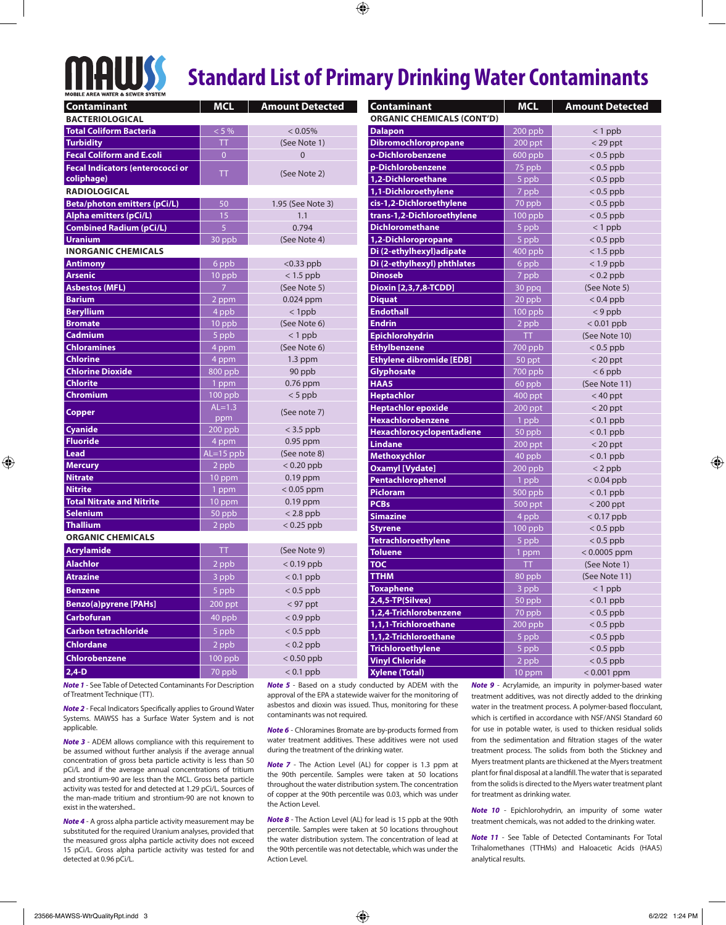# **MAWSS**

## **Standard List of Primary Drinking Water Contaminants**

| <b>Contaminant</b>                      | <b>MCL</b>           | <b>Amount Detected</b>       | Contaminant                                  | <b>MCL</b>  | <b>Amount Detected</b>        |
|-----------------------------------------|----------------------|------------------------------|----------------------------------------------|-------------|-------------------------------|
| <b>BACTERIOLOGICAL</b>                  |                      |                              | <b>ORGANIC CHEMICALS (CONT'D)</b>            |             |                               |
| <b>Total Coliform Bacteria</b>          | $< 5 \%$             | $< 0.05\%$                   | <b>Dalapon</b>                               | $200$ ppb   | $< 1$ ppb                     |
| <b>Turbidity</b>                        | TT                   | (See Note 1)                 | Dibromochloropropane                         | $200$ ppt   | $<$ 29 ppt                    |
| <b>Fecal Coliform and E.coli</b>        | $\overline{0}$       | $\overline{0}$               | o-Dichlorobenzene                            | $600$ ppb   | $< 0.5$ ppb                   |
| <b>Fecal Indicators (enterococci or</b> |                      |                              | p-Dichlorobenzene                            | 75 ppb      | $< 0.5$ ppb                   |
| coliphage)                              | ΤT                   | (See Note 2)                 | 1,2-Dichloroethane                           | 5 ppb       | $< 0.5$ ppb                   |
| <b>RADIOLOGICAL</b>                     |                      |                              | 1,1-Dichloroethylene                         | 7 ppb       | $< 0.5$ ppb                   |
| <b>Beta/photon emitters (pCi/L)</b>     | 50                   | 1.95 (See Note 3)            | cis-1,2-Dichloroethylene                     | 70 ppb      | $< 0.5$ ppb                   |
| <b>Alpha emitters (pCi/L)</b>           | 15                   | 1.1                          | trans-1,2-Dichloroethylene                   | $100$ ppb   | $< 0.5$ ppb                   |
| <b>Combined Radium (pCi/L)</b>          | $\overline{5}$       | 0.794                        | <b>Dichloromethane</b>                       | $5$ ppb     | $< 1$ ppb                     |
| <b>Uranium</b>                          | 30 ppb               | (See Note 4)                 | 1,2-Dichloropropane                          | 5 ppb       | $< 0.5$ ppb                   |
| <b>INORGANIC CHEMICALS</b>              |                      |                              | Di (2-ethylhexyl) adipate                    | $400$ ppb   | $< 1.5$ ppb                   |
| <b>Antimony</b>                         | 6 ppb                | $< 0.33$ ppb                 | Di (2-ethylhexyl) phthlates                  | 6 ppb       | $< 1.9$ ppb                   |
| <b>Arsenic</b>                          | 10 ppb               | $< 1.5$ ppb                  | <b>Dinoseb</b>                               | 7 ppb       | $< 0.2$ ppb                   |
| <b>Asbestos (MFL)</b>                   | $\overline{7}$       | (See Note 5)                 | Dioxin [2,3,7,8-TCDD]                        | 30 ppq      | (See Note 5)                  |
| <b>Barium</b>                           | $2$ ppm              | $0.024$ ppm                  | <b>Diquat</b>                                | 20 ppb      | $< 0.4$ ppb                   |
| <b>Beryllium</b>                        | 4 ppb                | $<$ 1ppb                     | <b>Endothall</b>                             | $100$ ppb   | $< 9$ ppb                     |
| <b>Bromate</b>                          | 10 ppb               | (See Note 6)                 | <b>Endrin</b>                                | 2 ppb       | $< 0.01$ ppb                  |
| <b>Cadmium</b>                          | $5$ ppb              | $<$ 1 ppb                    | Epichlorohydrin                              | <b>TT</b>   | (See Note 10)                 |
| <b>Chloramines</b>                      | 4 ppm                | (See Note 6)                 | <b>Ethylbenzene</b>                          | $700$ ppb   | $< 0.5$ ppb                   |
| <b>Chlorine</b>                         | 4 ppm                | $1.3$ ppm                    | <b>Ethylene dibromide [EDB]</b>              | 50 ppt      | $<$ 20 ppt                    |
| <b>Chlorine Dioxide</b>                 | 800 ppb              | 90 ppb                       | Glyphosate                                   | 700 ppb     | $< 6$ ppb                     |
| <b>Chlorite</b>                         | 1 ppm                | $0.76$ ppm                   | HAA5                                         | 60 ppb      | (See Note 11)                 |
| <b>Chromium</b>                         | $100$ ppb            | $< 5$ ppb                    | <b>Heptachlor</b>                            | 400 ppt     | $< 40$ ppt                    |
| Copper                                  | $AL=1.3$             | (See note 7)                 | <b>Heptachlor epoxide</b>                    | $200$ ppt   | $<$ 20 ppt                    |
|                                         | ppm                  |                              | <b>Hexachlorobenzene</b>                     | 1 ppb       | $< 0.1$ ppb                   |
| <b>Cyanide</b><br><b>Fluoride</b>       | 200 ppb              | $<$ 3.5 ppb                  | Hexachlorocyclopentadiene                    | 50 ppb      | $< 0.1$ ppb                   |
| <b>Lead</b>                             | 4 ppm                | $0.95$ ppm                   | <b>Lindane</b>                               | 200 ppt     | $<$ 20 ppt                    |
| <b>Mercury</b>                          | $AL=15$ ppb<br>2 ppb | (See note 8)<br>$< 0.20$ ppb | Methoxychlor                                 | 40 ppb      | $< 0.1$ ppb                   |
| <b>Nitrate</b>                          | 10 ppm               | 0.19 ppm                     | <b>Oxamyl [Vydate]</b>                       | $200$ ppb   | $<$ 2 ppb                     |
| <b>Nitrite</b>                          | 1 ppm                | $< 0.05$ ppm                 | Pentachlorophenol                            | 1 ppb       | $< 0.04$ ppb                  |
| <b>Total Nitrate and Nitrite</b>        | 10 ppm               | $0.19$ ppm                   | <b>Picloram</b>                              | $500$ ppb   | $< 0.1$ ppb                   |
| <b>Selenium</b>                         | 50 ppb               | $< 2.8$ ppb                  | <b>PCBs</b>                                  | $500$ ppt   | $<$ 200 ppt                   |
| <b>Thallium</b>                         | 2 ppb                | $< 0.25$ ppb                 | <b>Simazine</b>                              | 4 ppb       | $< 0.17$ ppb                  |
| <b>ORGANIC CHEMICALS</b>                |                      |                              | <b>Styrene</b><br><b>Tetrachloroethylene</b> | $100$ ppb   | $< 0.5$ ppb                   |
| <b>Acrylamide</b>                       | ΤT                   | (See Note 9)                 | <b>Toluene</b>                               | 5 ppb       | $< 0.5$ ppb<br>$< 0.0005$ ppm |
| <b>Alachlor</b>                         | 2 ppb                | $< 0.19$ ppb                 | <b>TOC</b>                                   | 1 ppm<br>ТT | (See Note 1)                  |
| <b>Atrazine</b>                         |                      | $< 0.1$ ppb                  | <b>TTHM</b>                                  | 80 ppb      | (See Note 11)                 |
|                                         | 3 ppb                |                              | <b>Toxaphene</b>                             | 3 ppb       | $< 1$ ppb                     |
| <b>Benzene</b>                          | 5 ppb                | $< 0.5$ ppb                  | $2,4,5$ -TP(Silvex)                          | 50 ppb      | $< 0.1$ ppb                   |
| <b>Benzo(a)pyrene [PAHs]</b>            | 200 ppt              | $<$ 97 ppt                   | 1,2,4-Trichlorobenzene                       | 70 ppb      | $< 0.5$ ppb                   |
| <b>Carbofuran</b>                       | 40 ppb               | $< 0.9$ ppb                  | 1,1,1-Trichloroethane                        | $200$ ppb   | $< 0.5$ ppb                   |
| <b>Carbon tetrachloride</b>             | 5 ppb                | $< 0.5$ ppb                  | 1,1,2-Trichloroethane                        | 5 ppb       | $< 0.5$ ppb                   |
| <b>Chlordane</b>                        | 2 ppb                | $< 0.2$ ppb                  | <b>Trichloroethylene</b>                     | 5 ppb       | $< 0.5$ ppb                   |
| Chlorobenzene                           | $100$ ppb            | $< 0.50$ ppb                 | <b>Vinyl Chloride</b>                        | 2 ppb       | $< 0.5$ ppb                   |
| $2,4-D$                                 | 70 ppb               | $< 0.1$ ppb                  | <b>Xylene (Total)</b>                        | 10 ppm      | $< 0.001$ ppm                 |
|                                         |                      |                              |                                              |             |                               |

*Note 1* - See Table of Detected Contaminants For Description of Treatment Technique (TT).

*Note 2* - Fecal Indicators Specifically applies to Ground Water Systems. MAWSS has a Surface Water System and is not applicable.

*Note 3* - ADEM allows compliance with this requirement to be assumed without further analysis if the average annual concentration of gross beta particle activity is less than 50 pCi/L and if the average annual concentrations of tritium and strontium-90 are less than the MCL. Gross beta particle activity was tested for and detected at 1.29 pCi/L. Sources of the man-made tritium and strontium-90 are not known to exist in the watershed..

*Note 4* - A gross alpha particle activity measurement may be substituted for the required Uranium analyses, provided that the measured gross alpha particle activity does not exceed 15 pCi/L. Gross alpha particle activity was tested for and detected at 0.96 pCi/L.

*Note 5* - Based on a study conducted by ADEM with the approval of the EPA a statewide waiver for the monitoring of asbestos and dioxin was issued. Thus, monitoring for these contaminants was not required.

*Note 6* - Chloramines Bromate are by-products formed from water treatment additives. These additives were not used during the treatment of the drinking water.

*Note 7* - The Action Level (AL) for copper is 1.3 ppm at the 90th percentile. Samples were taken at 50 locations throughout the water distribution system. The concentration of copper at the 90th percentile was 0.03, which was under the Action Level.

*Note 8* - The Action Level (AL) for lead is 15 ppb at the 90th percentile. Samples were taken at 50 locations throughout the water distribution system. The concentration of lead at the 90th percentile was not detectable, which was under the Action Level.

*Note 9* - Acrylamide, an impurity in polymer-based water treatment additives, was not directly added to the drinking water in the treatment process. A polymer-based flocculant, which is certified in accordance with NSF/ANSI Standard 60 for use in potable water, is used to thicken residual solids from the sedimentation and filtration stages of the water treatment process. The solids from both the Stickney and Myers treatment plants are thickened at the Myers treatment plant for final disposal at a landfill. The water that is separated from the solids is directed to the Myers water treatment plant for treatment as drinking water.

*Note 10* - Epichlorohydrin, an impurity of some water treatment chemicals, was not added to the drinking water.

*Note 11* - See Table of Detected Contaminants For Total Trihalomethanes (TTHMs) and Haloacetic Acids (HAA5) analytical results.